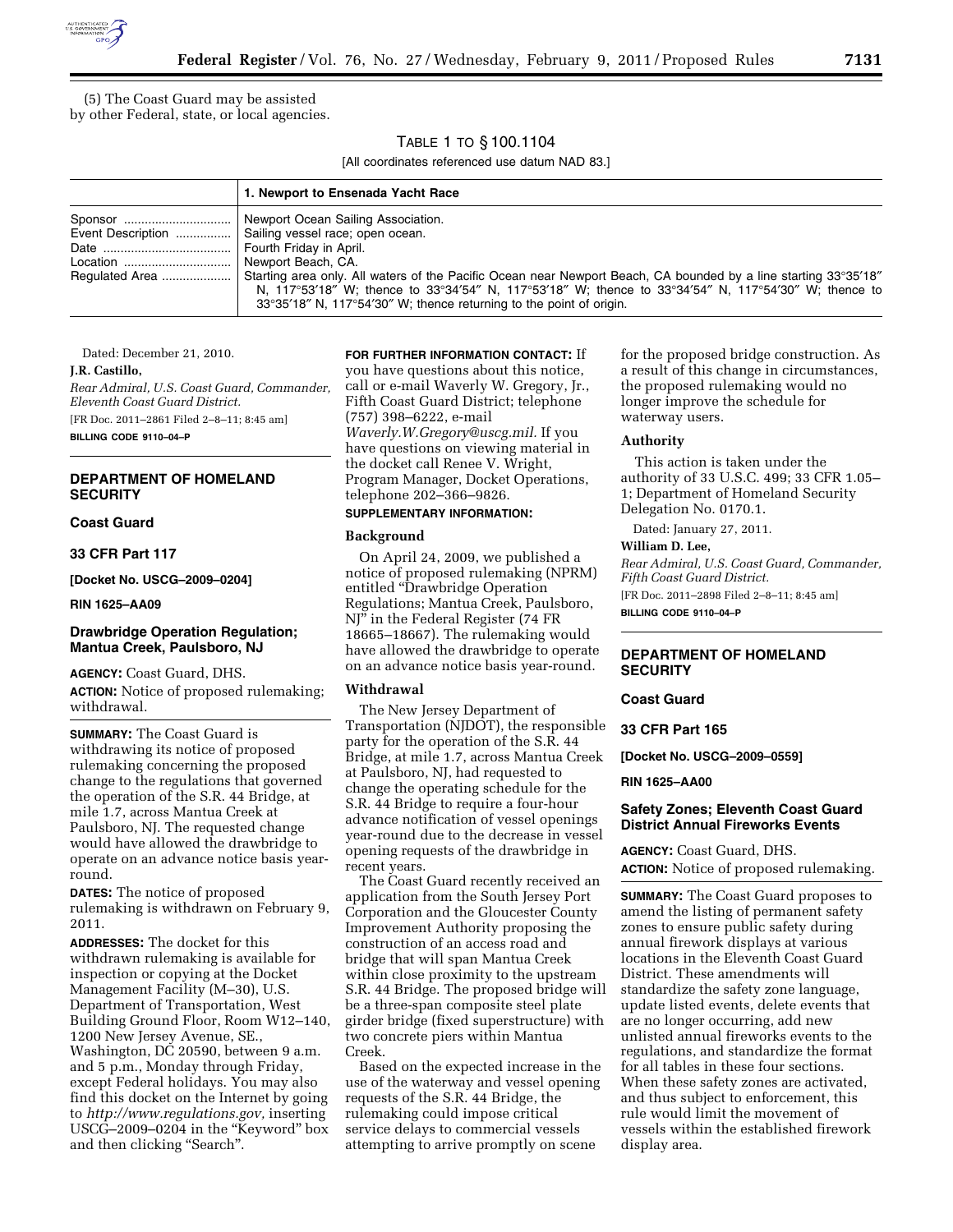

(5) The Coast Guard may be assisted by other Federal, state, or local agencies.

## TABLE 1 TO § 100.1104

[All coordinates referenced use datum NAD 83.]

| 1. Newport to Ensenada Yacht Race                                                                                                                                                                                                    |
|--------------------------------------------------------------------------------------------------------------------------------------------------------------------------------------------------------------------------------------|
| Event Description    Sailing vessel race; open ocean.<br>N, 117°53'18" W; thence to 33°34'54" N, 117°53'18" W; thence to 33°34'54" N, 117°54'30" W; thence to<br>33°35'18" N, 117°54'30" W; thence returning to the point of origin. |

Dated: December 21, 2010.

#### **J.R. Castillo,**

*Rear Admiral, U.S. Coast Guard, Commander, Eleventh Coast Guard District.*  [FR Doc. 2011–2861 Filed 2–8–11; 8:45 am]

**BILLING CODE 9110–04–P** 

## **DEPARTMENT OF HOMELAND SECURITY**

**Coast Guard** 

**33 CFR Part 117** 

**[Docket No. USCG–2009–0204]** 

#### **RIN 1625–AA09**

## **Drawbridge Operation Regulation; Mantua Creek, Paulsboro, NJ**

**AGENCY:** Coast Guard, DHS.

**ACTION:** Notice of proposed rulemaking; withdrawal.

**SUMMARY:** The Coast Guard is withdrawing its notice of proposed rulemaking concerning the proposed change to the regulations that governed the operation of the S.R. 44 Bridge, at mile 1.7, across Mantua Creek at Paulsboro, NJ. The requested change would have allowed the drawbridge to operate on an advance notice basis yearround.

**DATES:** The notice of proposed rulemaking is withdrawn on February 9, 2011.

**ADDRESSES:** The docket for this withdrawn rulemaking is available for inspection or copying at the Docket Management Facility (M–30), U.S. Department of Transportation, West Building Ground Floor, Room W12–140, 1200 New Jersey Avenue, SE., Washington, DC 20590, between 9 a.m. and 5 p.m., Monday through Friday, except Federal holidays. You may also find this docket on the Internet by going to *[http://www.regulations.gov,](http://www.regulations.gov)* inserting USCG-2009-0204 in the "Keyword" box and then clicking ''Search''.

#### **FOR FURTHER INFORMATION CONTACT:** If

you have questions about this notice, call or e-mail Waverly W. Gregory, Jr., Fifth Coast Guard District; telephone (757) 398–6222, e-mail *[Waverly.W.Gregory@uscg.mil.](mailto:Waverly.W.Gregory@uscg.mil)* If you have questions on viewing material in the docket call Renee V. Wright, Program Manager, Docket Operations, telephone 202–366–9826.

### **SUPPLEMENTARY INFORMATION:**

#### **Background**

On April 24, 2009, we published a notice of proposed rulemaking (NPRM) entitled ''Drawbridge Operation Regulations; Mantua Creek, Paulsboro, NJ'' in the Federal Register (74 FR 18665–18667). The rulemaking would have allowed the drawbridge to operate on an advance notice basis year-round.

## **Withdrawal**

The New Jersey Department of Transportation (NJDOT), the responsible party for the operation of the S.R. 44 Bridge, at mile 1.7, across Mantua Creek at Paulsboro, NJ, had requested to change the operating schedule for the S.R. 44 Bridge to require a four-hour advance notification of vessel openings year-round due to the decrease in vessel opening requests of the drawbridge in recent years.

The Coast Guard recently received an application from the South Jersey Port Corporation and the Gloucester County Improvement Authority proposing the construction of an access road and bridge that will span Mantua Creek within close proximity to the upstream S.R. 44 Bridge. The proposed bridge will be a three-span composite steel plate girder bridge (fixed superstructure) with two concrete piers within Mantua Creek.

Based on the expected increase in the use of the waterway and vessel opening requests of the S.R. 44 Bridge, the rulemaking could impose critical service delays to commercial vessels attempting to arrive promptly on scene

for the proposed bridge construction. As a result of this change in circumstances, the proposed rulemaking would no longer improve the schedule for waterway users.

#### **Authority**

This action is taken under the authority of 33 U.S.C. 499; 33 CFR 1.05– 1; Department of Homeland Security Delegation No. 0170.1.

Dated: January 27, 2011.

#### **William D. Lee,**

*Rear Admiral, U.S. Coast Guard, Commander, Fifth Coast Guard District.* 

[FR Doc. 2011–2898 Filed 2–8–11; 8:45 am] **BILLING CODE 9110–04–P** 

#### **DEPARTMENT OF HOMELAND SECURITY**

### **Coast Guard**

#### **33 CFR Part 165**

**[Docket No. USCG–2009–0559]** 

#### **RIN 1625–AA00**

### **Safety Zones; Eleventh Coast Guard District Annual Fireworks Events**

**AGENCY:** Coast Guard, DHS. **ACTION:** Notice of proposed rulemaking.

**SUMMARY:** The Coast Guard proposes to amend the listing of permanent safety zones to ensure public safety during annual firework displays at various locations in the Eleventh Coast Guard District. These amendments will standardize the safety zone language, update listed events, delete events that are no longer occurring, add new unlisted annual fireworks events to the regulations, and standardize the format for all tables in these four sections. When these safety zones are activated, and thus subject to enforcement, this rule would limit the movement of vessels within the established firework display area.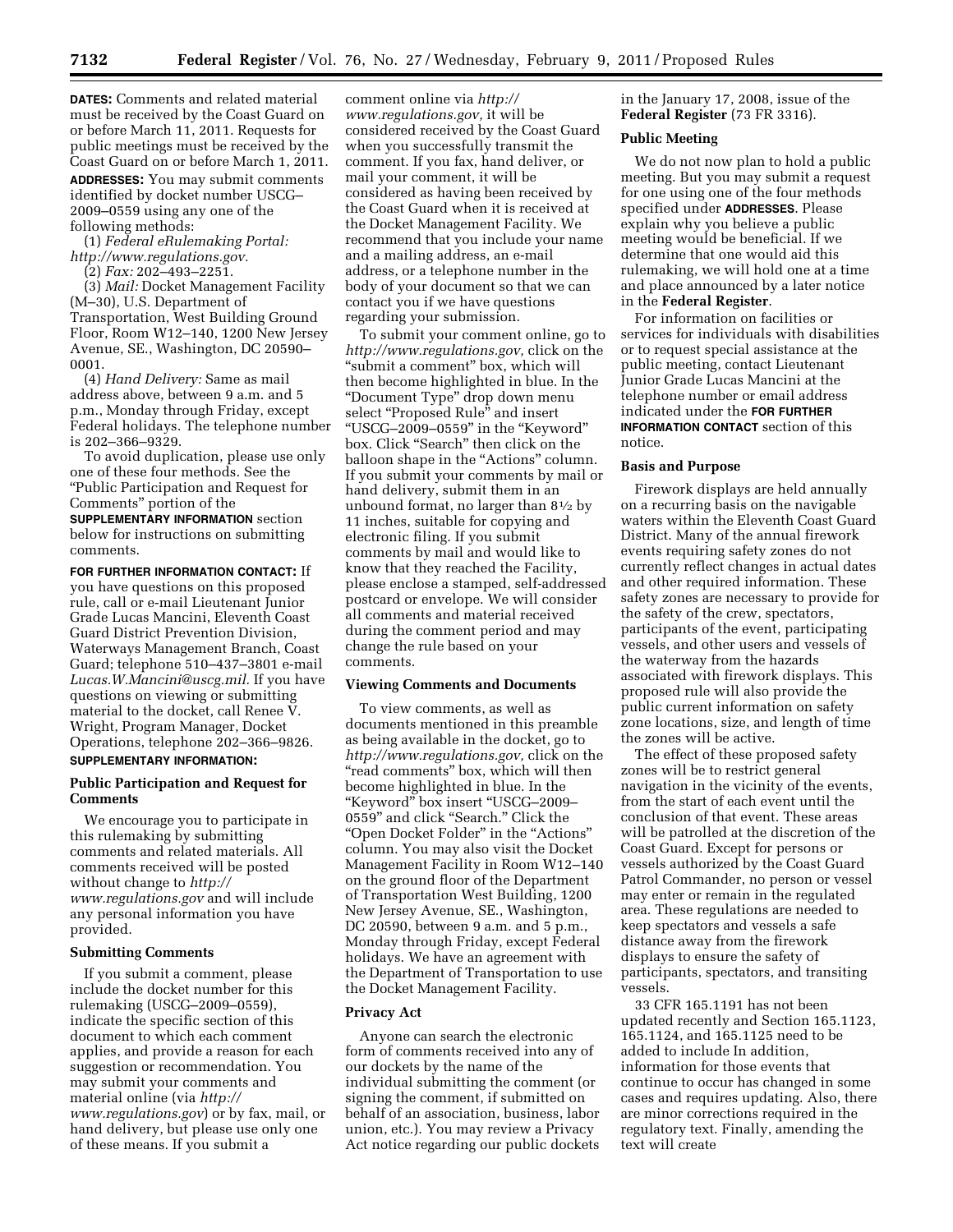**DATES:** Comments and related material must be received by the Coast Guard on or before March 11, 2011. Requests for public meetings must be received by the Coast Guard on or before March 1, 2011. **ADDRESSES:** You may submit comments identified by docket number USCG– 2009–0559 using any one of the following methods:

(1) *Federal eRulemaking Portal: [http://www.regulations.gov.](http://www.regulations.gov)* 

(2) *Fax:* 202–493–2251.

(3) *Mail:* Docket Management Facility (M–30), U.S. Department of Transportation, West Building Ground Floor, Room W12–140, 1200 New Jersey Avenue, SE., Washington, DC 20590– 0001.

(4) *Hand Delivery:* Same as mail address above, between 9 a.m. and 5 p.m., Monday through Friday, except Federal holidays. The telephone number is 202–366–9329.

To avoid duplication, please use only one of these four methods. See the ''Public Participation and Request for Comments'' portion of the **SUPPLEMENTARY INFORMATION** section below for instructions on submitting comments.

**FOR FURTHER INFORMATION CONTACT:** If you have questions on this proposed rule, call or e-mail Lieutenant Junior Grade Lucas Mancini, Eleventh Coast Guard District Prevention Division, Waterways Management Branch, Coast Guard; telephone 510–437–3801 e-mail *[Lucas.W.Mancini@uscg.mil.](mailto:Lucas.W.Mancini@uscg.mil)* If you have questions on viewing or submitting material to the docket, call Renee  $\breve{V}$ . Wright, Program Manager, Docket Operations, telephone 202–366–9826.

## **SUPPLEMENTARY INFORMATION:**

### **Public Participation and Request for Comments**

We encourage you to participate in this rulemaking by submitting comments and related materials. All comments received will be posted without change to *[http://](http://www.regulations.gov) [www.regulations.gov](http://www.regulations.gov)* and will include any personal information you have provided.

#### **Submitting Comments**

If you submit a comment, please include the docket number for this rulemaking (USCG–2009–0559), indicate the specific section of this document to which each comment applies, and provide a reason for each suggestion or recommendation. You may submit your comments and material online (via *[http://](http://www.regulations.gov)  [www.regulations.gov](http://www.regulations.gov)*) or by fax, mail, or hand delivery, but please use only one of these means. If you submit a

comment online via *[http://](http://www.regulations.gov) [www.regulations.gov,](http://www.regulations.gov)* it will be considered received by the Coast Guard when you successfully transmit the comment. If you fax, hand deliver, or mail your comment, it will be considered as having been received by the Coast Guard when it is received at the Docket Management Facility. We recommend that you include your name and a mailing address, an e-mail address, or a telephone number in the body of your document so that we can contact you if we have questions regarding your submission.

To submit your comment online, go to *[http://www.regulations.gov,](http://www.regulations.gov)* click on the "submit a comment" box, which will then become highlighted in blue. In the ''Document Type'' drop down menu select ''Proposed Rule'' and insert ''USCG–2009–0559'' in the ''Keyword'' box. Click "Search" then click on the balloon shape in the "Actions" column. If you submit your comments by mail or hand delivery, submit them in an unbound format, no larger than 81⁄2 by 11 inches, suitable for copying and electronic filing. If you submit comments by mail and would like to know that they reached the Facility, please enclose a stamped, self-addressed postcard or envelope. We will consider all comments and material received during the comment period and may change the rule based on your comments.

#### **Viewing Comments and Documents**

To view comments, as well as documents mentioned in this preamble as being available in the docket, go to *[http://www.regulations.gov,](http://www.regulations.gov)* click on the "read comments" box, which will then become highlighted in blue. In the ''Keyword'' box insert ''USCG–2009– 0559'' and click ''Search.'' Click the ''Open Docket Folder'' in the ''Actions'' column. You may also visit the Docket Management Facility in Room W12–140 on the ground floor of the Department of Transportation West Building, 1200 New Jersey Avenue, SE., Washington, DC 20590, between 9 a.m. and 5 p.m., Monday through Friday, except Federal holidays. We have an agreement with the Department of Transportation to use the Docket Management Facility.

#### **Privacy Act**

Anyone can search the electronic form of comments received into any of our dockets by the name of the individual submitting the comment (or signing the comment, if submitted on behalf of an association, business, labor union, etc.). You may review a Privacy Act notice regarding our public dockets

in the January 17, 2008, issue of the **Federal Register** (73 FR 3316).

#### **Public Meeting**

We do not now plan to hold a public meeting. But you may submit a request for one using one of the four methods specified under **ADDRESSES**. Please explain why you believe a public meeting would be beneficial. If we determine that one would aid this rulemaking, we will hold one at a time and place announced by a later notice in the **Federal Register**.

For information on facilities or services for individuals with disabilities or to request special assistance at the public meeting, contact Lieutenant Junior Grade Lucas Mancini at the telephone number or email address indicated under the **FOR FURTHER INFORMATION CONTACT** section of this notice.

#### **Basis and Purpose**

Firework displays are held annually on a recurring basis on the navigable waters within the Eleventh Coast Guard District. Many of the annual firework events requiring safety zones do not currently reflect changes in actual dates and other required information. These safety zones are necessary to provide for the safety of the crew, spectators, participants of the event, participating vessels, and other users and vessels of the waterway from the hazards associated with firework displays. This proposed rule will also provide the public current information on safety zone locations, size, and length of time the zones will be active.

The effect of these proposed safety zones will be to restrict general navigation in the vicinity of the events, from the start of each event until the conclusion of that event. These areas will be patrolled at the discretion of the Coast Guard. Except for persons or vessels authorized by the Coast Guard Patrol Commander, no person or vessel may enter or remain in the regulated area. These regulations are needed to keep spectators and vessels a safe distance away from the firework displays to ensure the safety of participants, spectators, and transiting vessels.

33 CFR 165.1191 has not been updated recently and Section 165.1123, 165.1124, and 165.1125 need to be added to include In addition, information for those events that continue to occur has changed in some cases and requires updating. Also, there are minor corrections required in the regulatory text. Finally, amending the text will create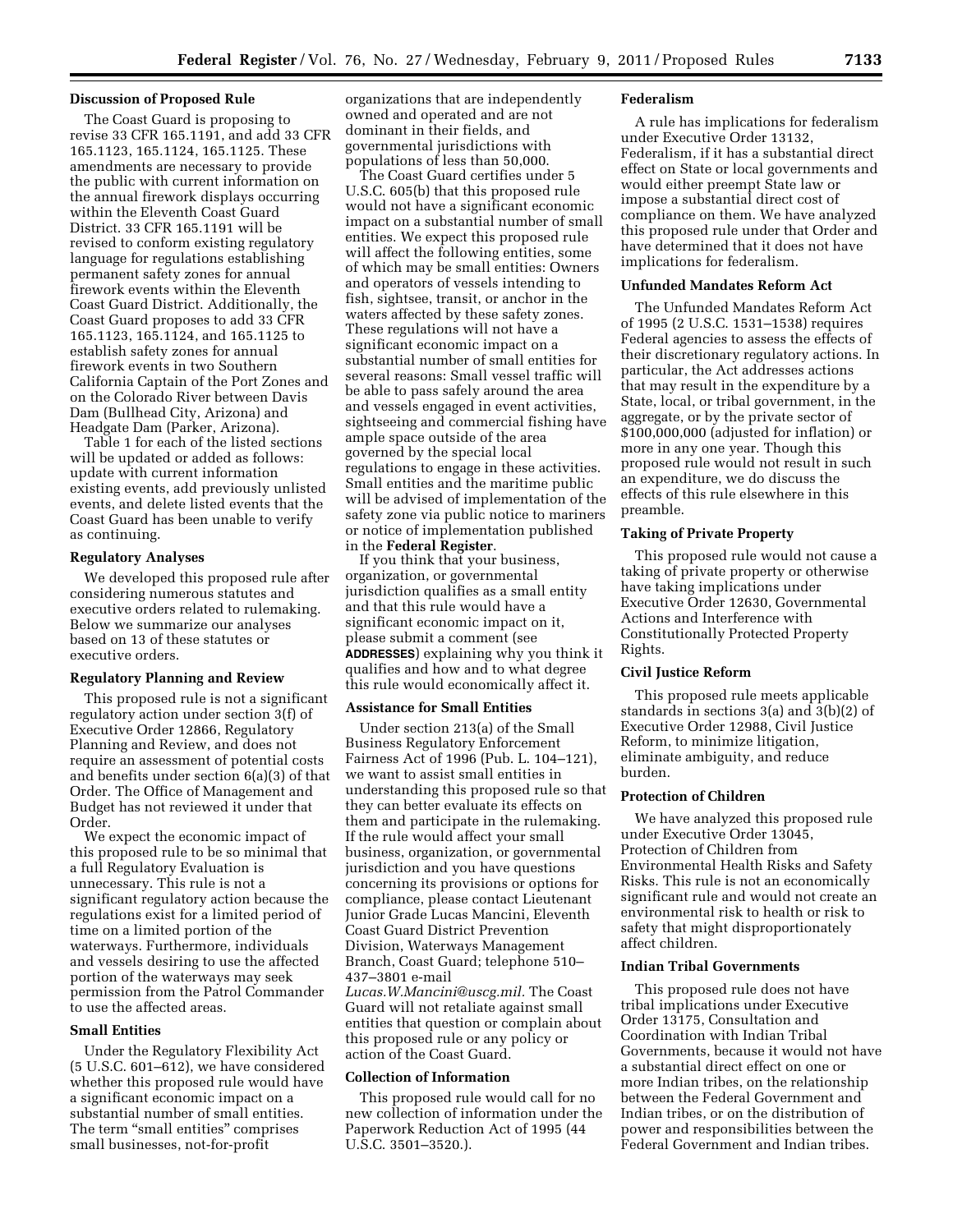#### **Discussion of Proposed Rule**

The Coast Guard is proposing to revise 33 CFR 165.1191, and add 33 CFR 165.1123, 165.1124, 165.1125. These amendments are necessary to provide the public with current information on the annual firework displays occurring within the Eleventh Coast Guard District. 33 CFR 165.1191 will be revised to conform existing regulatory language for regulations establishing permanent safety zones for annual firework events within the Eleventh Coast Guard District. Additionally, the Coast Guard proposes to add 33 CFR 165.1123, 165.1124, and 165.1125 to establish safety zones for annual firework events in two Southern California Captain of the Port Zones and on the Colorado River between Davis Dam (Bullhead City, Arizona) and Headgate Dam (Parker, Arizona).

Table 1 for each of the listed sections will be updated or added as follows: update with current information existing events, add previously unlisted events, and delete listed events that the Coast Guard has been unable to verify as continuing.

### **Regulatory Analyses**

We developed this proposed rule after considering numerous statutes and executive orders related to rulemaking. Below we summarize our analyses based on 13 of these statutes or executive orders.

#### **Regulatory Planning and Review**

This proposed rule is not a significant regulatory action under section 3(f) of Executive Order 12866, Regulatory Planning and Review, and does not require an assessment of potential costs and benefits under section 6(a)(3) of that Order. The Office of Management and Budget has not reviewed it under that Order.

We expect the economic impact of this proposed rule to be so minimal that a full Regulatory Evaluation is unnecessary. This rule is not a significant regulatory action because the regulations exist for a limited period of time on a limited portion of the waterways. Furthermore, individuals and vessels desiring to use the affected portion of the waterways may seek permission from the Patrol Commander to use the affected areas.

## **Small Entities**

Under the Regulatory Flexibility Act (5 U.S.C. 601–612), we have considered whether this proposed rule would have a significant economic impact on a substantial number of small entities. The term "small entities" comprises small businesses, not-for-profit

organizations that are independently owned and operated and are not dominant in their fields, and governmental jurisdictions with populations of less than 50,000.

The Coast Guard certifies under 5 U.S.C. 605(b) that this proposed rule would not have a significant economic impact on a substantial number of small entities. We expect this proposed rule will affect the following entities, some of which may be small entities: Owners and operators of vessels intending to fish, sightsee, transit, or anchor in the waters affected by these safety zones. These regulations will not have a significant economic impact on a substantial number of small entities for several reasons: Small vessel traffic will be able to pass safely around the area and vessels engaged in event activities, sightseeing and commercial fishing have ample space outside of the area governed by the special local regulations to engage in these activities. Small entities and the maritime public will be advised of implementation of the safety zone via public notice to mariners or notice of implementation published in the **Federal Register**.

If you think that your business, organization, or governmental jurisdiction qualifies as a small entity and that this rule would have a significant economic impact on it, please submit a comment (see **ADDRESSES**) explaining why you think it qualifies and how and to what degree this rule would economically affect it.

#### **Assistance for Small Entities**

Under section 213(a) of the Small Business Regulatory Enforcement Fairness Act of 1996 (Pub. L. 104–121), we want to assist small entities in understanding this proposed rule so that they can better evaluate its effects on them and participate in the rulemaking. If the rule would affect your small business, organization, or governmental jurisdiction and you have questions concerning its provisions or options for compliance, please contact Lieutenant Junior Grade Lucas Mancini, Eleventh Coast Guard District Prevention Division, Waterways Management Branch, Coast Guard; telephone 510– 437–3801 e-mail *[Lucas.W.Mancini@uscg.mil.](mailto:Lucas.W.Mancini@uscg.mil)* The Coast

Guard will not retaliate against small entities that question or complain about this proposed rule or any policy or action of the Coast Guard.

#### **Collection of Information**

This proposed rule would call for no new collection of information under the Paperwork Reduction Act of 1995 (44 U.S.C. 3501–3520.).

#### **Federalism**

A rule has implications for federalism under Executive Order 13132, Federalism, if it has a substantial direct effect on State or local governments and would either preempt State law or impose a substantial direct cost of compliance on them. We have analyzed this proposed rule under that Order and have determined that it does not have implications for federalism.

#### **Unfunded Mandates Reform Act**

The Unfunded Mandates Reform Act of 1995 (2 U.S.C. 1531–1538) requires Federal agencies to assess the effects of their discretionary regulatory actions. In particular, the Act addresses actions that may result in the expenditure by a State, local, or tribal government, in the aggregate, or by the private sector of \$100,000,000 (adjusted for inflation) or more in any one year. Though this proposed rule would not result in such an expenditure, we do discuss the effects of this rule elsewhere in this preamble.

#### **Taking of Private Property**

This proposed rule would not cause a taking of private property or otherwise have taking implications under Executive Order 12630, Governmental Actions and Interference with Constitutionally Protected Property Rights.

#### **Civil Justice Reform**

This proposed rule meets applicable standards in sections 3(a) and 3(b)(2) of Executive Order 12988, Civil Justice Reform, to minimize litigation, eliminate ambiguity, and reduce burden.

## **Protection of Children**

We have analyzed this proposed rule under Executive Order 13045, Protection of Children from Environmental Health Risks and Safety Risks. This rule is not an economically significant rule and would not create an environmental risk to health or risk to safety that might disproportionately affect children.

#### **Indian Tribal Governments**

This proposed rule does not have tribal implications under Executive Order 13175, Consultation and Coordination with Indian Tribal Governments, because it would not have a substantial direct effect on one or more Indian tribes, on the relationship between the Federal Government and Indian tribes, or on the distribution of power and responsibilities between the Federal Government and Indian tribes.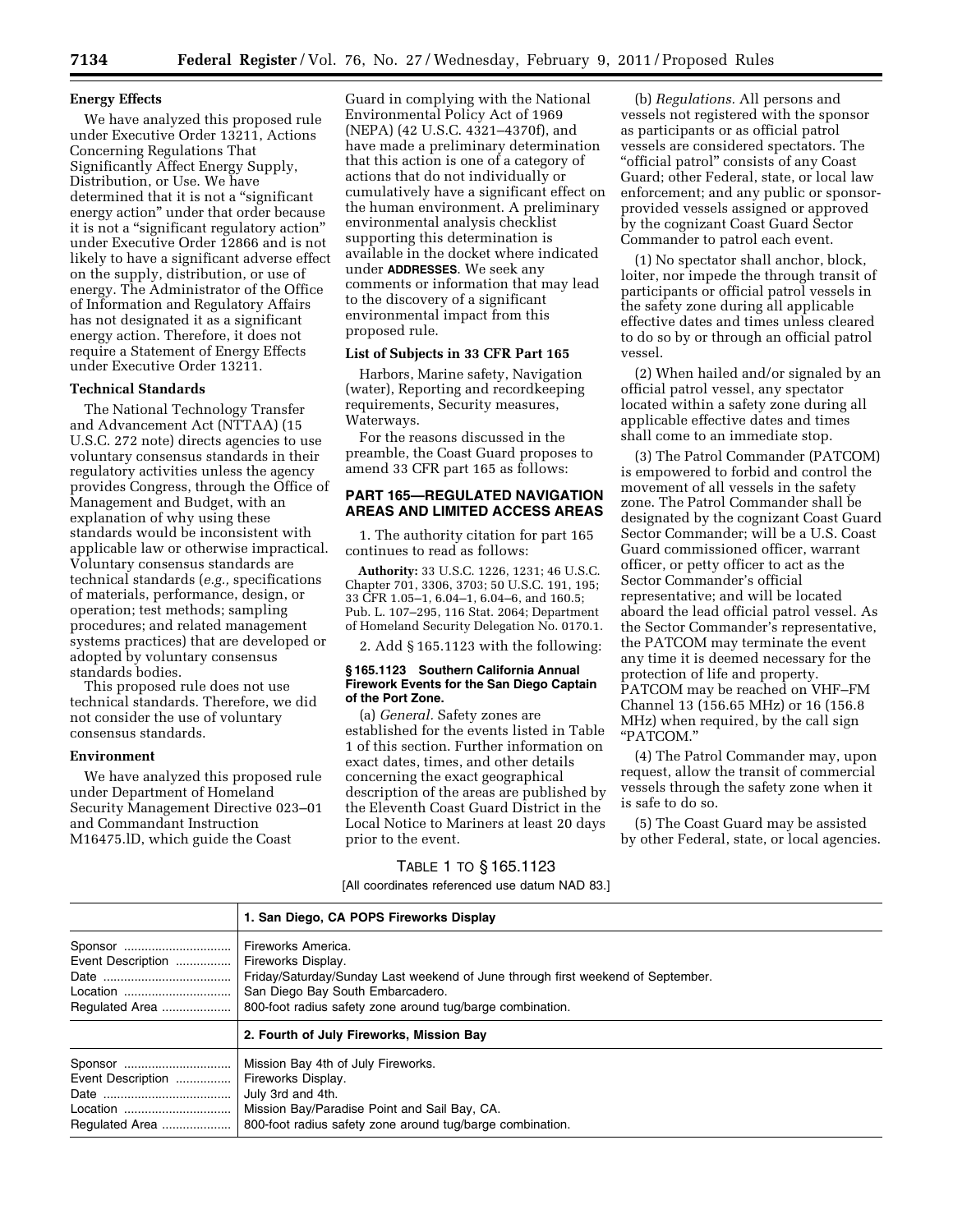#### **Energy Effects**

We have analyzed this proposed rule under Executive Order 13211, Actions Concerning Regulations That Significantly Affect Energy Supply, Distribution, or Use. We have determined that it is not a "significant" energy action'' under that order because it is not a "significant regulatory action" under Executive Order 12866 and is not likely to have a significant adverse effect on the supply, distribution, or use of energy. The Administrator of the Office of Information and Regulatory Affairs has not designated it as a significant energy action. Therefore, it does not require a Statement of Energy Effects under Executive Order 13211.

#### **Technical Standards**

The National Technology Transfer and Advancement Act (NTTAA) (15 U.S.C. 272 note) directs agencies to use voluntary consensus standards in their regulatory activities unless the agency provides Congress, through the Office of Management and Budget, with an explanation of why using these standards would be inconsistent with applicable law or otherwise impractical. Voluntary consensus standards are technical standards (*e.g.,* specifications of materials, performance, design, or operation; test methods; sampling procedures; and related management systems practices) that are developed or adopted by voluntary consensus standards bodies.

This proposed rule does not use technical standards. Therefore, we did not consider the use of voluntary consensus standards.

#### **Environment**

We have analyzed this proposed rule under Department of Homeland Security Management Directive 023–01 and Commandant Instruction M16475.lD, which guide the Coast

Guard in complying with the National Environmental Policy Act of 1969 (NEPA) (42 U.S.C. 4321–4370f), and have made a preliminary determination that this action is one of a category of actions that do not individually or cumulatively have a significant effect on the human environment. A preliminary environmental analysis checklist supporting this determination is available in the docket where indicated under **ADDRESSES**. We seek any comments or information that may lead to the discovery of a significant environmental impact from this proposed rule.

# **List of Subjects in 33 CFR Part 165**

Harbors, Marine safety, Navigation (water), Reporting and recordkeeping requirements, Security measures, Waterways.

For the reasons discussed in the preamble, the Coast Guard proposes to amend 33 CFR part 165 as follows:

## **PART 165—REGULATED NAVIGATION AREAS AND LIMITED ACCESS AREAS**

1. The authority citation for part 165 continues to read as follows:

**Authority:** 33 U.S.C. 1226, 1231; 46 U.S.C. Chapter 701, 3306, 3703; 50 U.S.C. 191, 195; 33 CFR 1.05–1, 6.04–1, 6.04–6, and 160.5; Pub. L. 107–295, 116 Stat. 2064; Department of Homeland Security Delegation No. 0170.1.

2. Add § 165.1123 with the following:

#### **§ 165.1123 Southern California Annual Firework Events for the San Diego Captain of the Port Zone.**

(a) *General.* Safety zones are established for the events listed in Table 1 of this section. Further information on exact dates, times, and other details concerning the exact geographical description of the areas are published by the Eleventh Coast Guard District in the Local Notice to Mariners at least 20 days prior to the event.

### TABLE 1 TO § 165.1123

[All coordinates referenced use datum NAD 83.]

(b) *Regulations.* All persons and vessels not registered with the sponsor as participants or as official patrol vessels are considered spectators. The "official patrol" consists of any Coast Guard; other Federal, state, or local law enforcement; and any public or sponsorprovided vessels assigned or approved by the cognizant Coast Guard Sector Commander to patrol each event.

(1) No spectator shall anchor, block, loiter, nor impede the through transit of participants or official patrol vessels in the safety zone during all applicable effective dates and times unless cleared to do so by or through an official patrol vessel.

(2) When hailed and/or signaled by an official patrol vessel, any spectator located within a safety zone during all applicable effective dates and times shall come to an immediate stop.

(3) The Patrol Commander (PATCOM) is empowered to forbid and control the movement of all vessels in the safety zone. The Patrol Commander shall be designated by the cognizant Coast Guard Sector Commander; will be a U.S. Coast Guard commissioned officer, warrant officer, or petty officer to act as the Sector Commander's official representative; and will be located aboard the lead official patrol vessel. As the Sector Commander's representative, the PATCOM may terminate the event any time it is deemed necessary for the protection of life and property. PATCOM may be reached on VHF–FM Channel 13 (156.65 MHz) or 16 (156.8 MHz) when required, by the call sign ''PATCOM.''

(4) The Patrol Commander may, upon request, allow the transit of commercial vessels through the safety zone when it is safe to do so.

(5) The Coast Guard may be assisted by other Federal, state, or local agencies.

|                                                | 1. San Diego, CA POPS Fireworks Display                                                                                                                                                                                      |
|------------------------------------------------|------------------------------------------------------------------------------------------------------------------------------------------------------------------------------------------------------------------------------|
| Sponsor<br>Event Description<br>Regulated Area | Fireworks America.<br>Fireworks Display.<br>Friday/Saturday/Sunday Last weekend of June through first weekend of September.<br>San Diego Bay South Embarcadero.<br>800-foot radius safety zone around tug/barge combination. |
|                                                | 2. Fourth of July Fireworks, Mission Bay                                                                                                                                                                                     |
| Sponsor<br>Event Description<br>Regulated Area | Mission Bay 4th of July Fireworks.<br>Fireworks Display.<br>July 3rd and 4th.<br>Mission Bay/Paradise Point and Sail Bay, CA.<br>800-foot radius safety zone around tug/barge combination.                                   |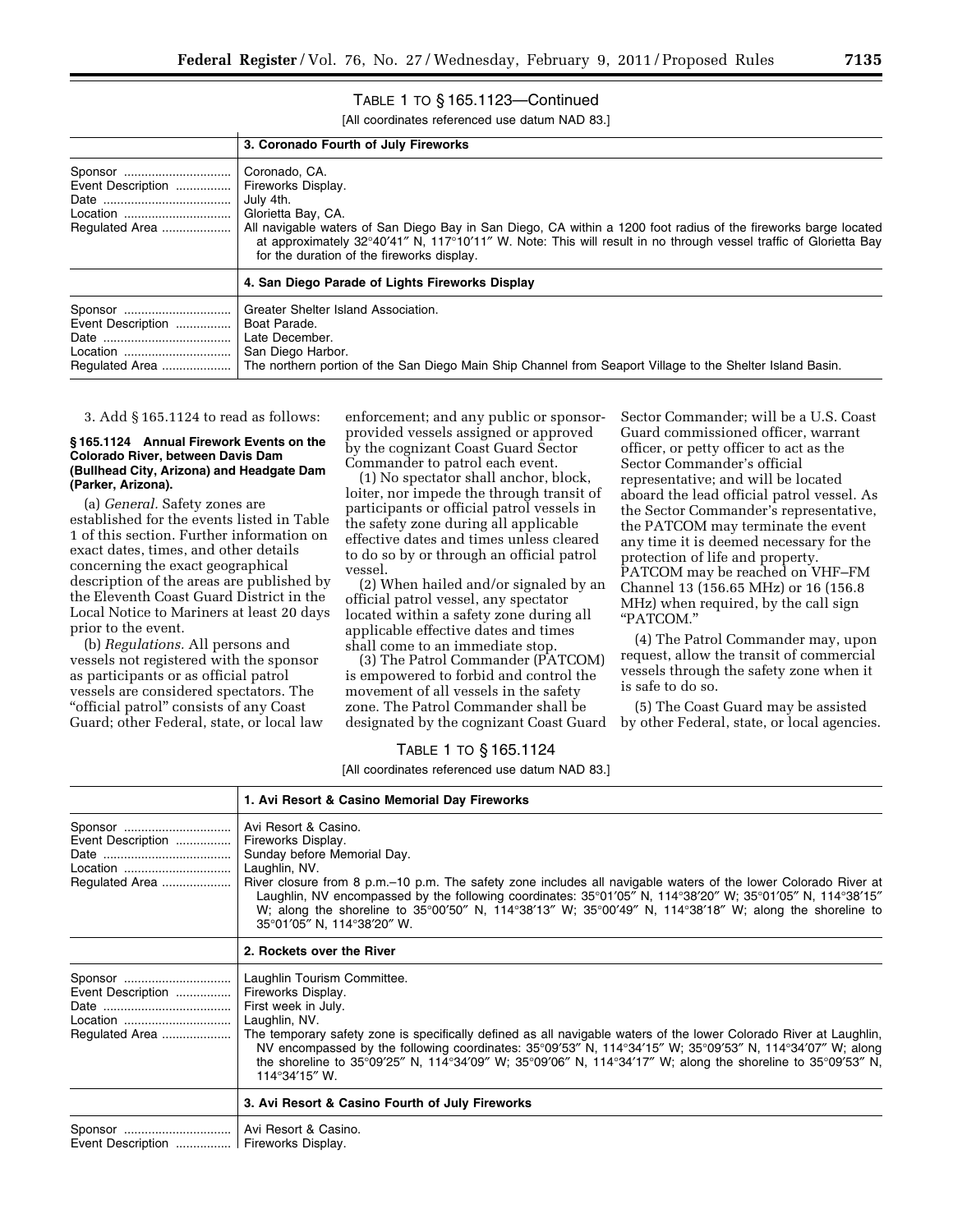# TABLE 1 TO § 165.1123—Continued

[All coordinates referenced use datum NAD 83.]

|                                                 | 3. Coronado Fourth of July Fireworks                                                                                                                                                                                                                                                                                                                        |
|-------------------------------------------------|-------------------------------------------------------------------------------------------------------------------------------------------------------------------------------------------------------------------------------------------------------------------------------------------------------------------------------------------------------------|
| Event Description<br>Location<br>Regulated Area | Coronado, CA.<br>Fireworks Display.<br>July 4th.<br>Glorietta Bay, CA.<br>All navigable waters of San Diego Bay in San Diego, CA within a 1200 foot radius of the fireworks barge located<br>at approximately 32°40'41" N, 117°10'11" W. Note: This will result in no through vessel traffic of Glorietta Bay<br>for the duration of the fireworks display. |
|                                                 | 4. San Diego Parade of Lights Fireworks Display                                                                                                                                                                                                                                                                                                             |
| Event Description<br>Regulated Area             | Greater Shelter Island Association.<br>Boat Parade.<br>Late December.<br>San Diego Harbor.<br>The northern portion of the San Diego Main Ship Channel from Seaport Village to the Shelter Island Basin.                                                                                                                                                     |

3. Add § 165.1124 to read as follows:

#### **§ 165.1124 Annual Firework Events on the Colorado River, between Davis Dam (Bullhead City, Arizona) and Headgate Dam (Parker, Arizona).**

(a) *General.* Safety zones are established for the events listed in Table 1 of this section. Further information on exact dates, times, and other details concerning the exact geographical description of the areas are published by the Eleventh Coast Guard District in the Local Notice to Mariners at least 20 days prior to the event.

(b) *Regulations.* All persons and vessels not registered with the sponsor as participants or as official patrol vessels are considered spectators. The "official patrol" consists of any Coast Guard; other Federal, state, or local law

enforcement; and any public or sponsorprovided vessels assigned or approved by the cognizant Coast Guard Sector Commander to patrol each event.

(1) No spectator shall anchor, block, loiter, nor impede the through transit of participants or official patrol vessels in the safety zone during all applicable effective dates and times unless cleared to do so by or through an official patrol vessel.

(2) When hailed and/or signaled by an official patrol vessel, any spectator located within a safety zone during all applicable effective dates and times shall come to an immediate stop.

(3) The Patrol Commander (PATCOM) is empowered to forbid and control the movement of all vessels in the safety zone. The Patrol Commander shall be designated by the cognizant Coast Guard

Sector Commander; will be a U.S. Coast Guard commissioned officer, warrant officer, or petty officer to act as the Sector Commander's official representative; and will be located aboard the lead official patrol vessel. As the Sector Commander's representative, the PATCOM may terminate the event any time it is deemed necessary for the protection of life and property. PATCOM may be reached on VHF–FM Channel 13 (156.65 MHz) or 16 (156.8 MHz) when required, by the call sign ''PATCOM.''

(4) The Patrol Commander may, upon request, allow the transit of commercial vessels through the safety zone when it is safe to do so.

(5) The Coast Guard may be assisted by other Federal, state, or local agencies.

# TABLE 1 TO § 165.1124

|                                                            | 1. Avi Resort & Casino Memorial Day Fireworks                                                                                                                                                                                                                                                                                                                                                                                                                                                      |
|------------------------------------------------------------|----------------------------------------------------------------------------------------------------------------------------------------------------------------------------------------------------------------------------------------------------------------------------------------------------------------------------------------------------------------------------------------------------------------------------------------------------------------------------------------------------|
| Sponsor<br>Event Description<br>Location<br>Regulated Area | Avi Resort & Casino.<br>Fireworks Display.<br>Sunday before Memorial Day.<br>Laughlin, NV.<br>River closure from 8 p.m.–10 p.m. The safety zone includes all navigable waters of the lower Colorado River at<br>Laughlin, NV encompassed by the following coordinates: 35°01'05" N, 114°38'20" W; 35°01'05" N, 114°38'15"<br>W; along the shoreline to 35°00'50" N, 114°38'13" W; 35°00'49" N, 114°38'18" W; along the shoreline to<br>35°01'05" N, 114°38'20" W.                                  |
|                                                            | 2. Rockets over the River                                                                                                                                                                                                                                                                                                                                                                                                                                                                          |
| Sponsor<br>Event Description<br>Location<br>Regulated Area | Laughlin Tourism Committee.<br>Fireworks Display.<br>First week in July.<br>Laughlin, NV.<br>The temporary safety zone is specifically defined as all navigable waters of the lower Colorado River at Laughlin,<br>NV encompassed by the following coordinates: $35^{\circ}09'53''$ N, $114^{\circ}34'15''$ W; $35^{\circ}09'53''$ N, $114^{\circ}34'07''$ W; along<br>the shoreline to 35°09'25" N, 114°34'09" W; 35°09'06" N, 114°34'17" W; along the shoreline to 35°09'53" N,<br>114°34'15" W. |
|                                                            | 3. Avi Resort & Casino Fourth of July Fireworks                                                                                                                                                                                                                                                                                                                                                                                                                                                    |
| Event Description    Fireworks Display.                    | Avi Resort & Casino.                                                                                                                                                                                                                                                                                                                                                                                                                                                                               |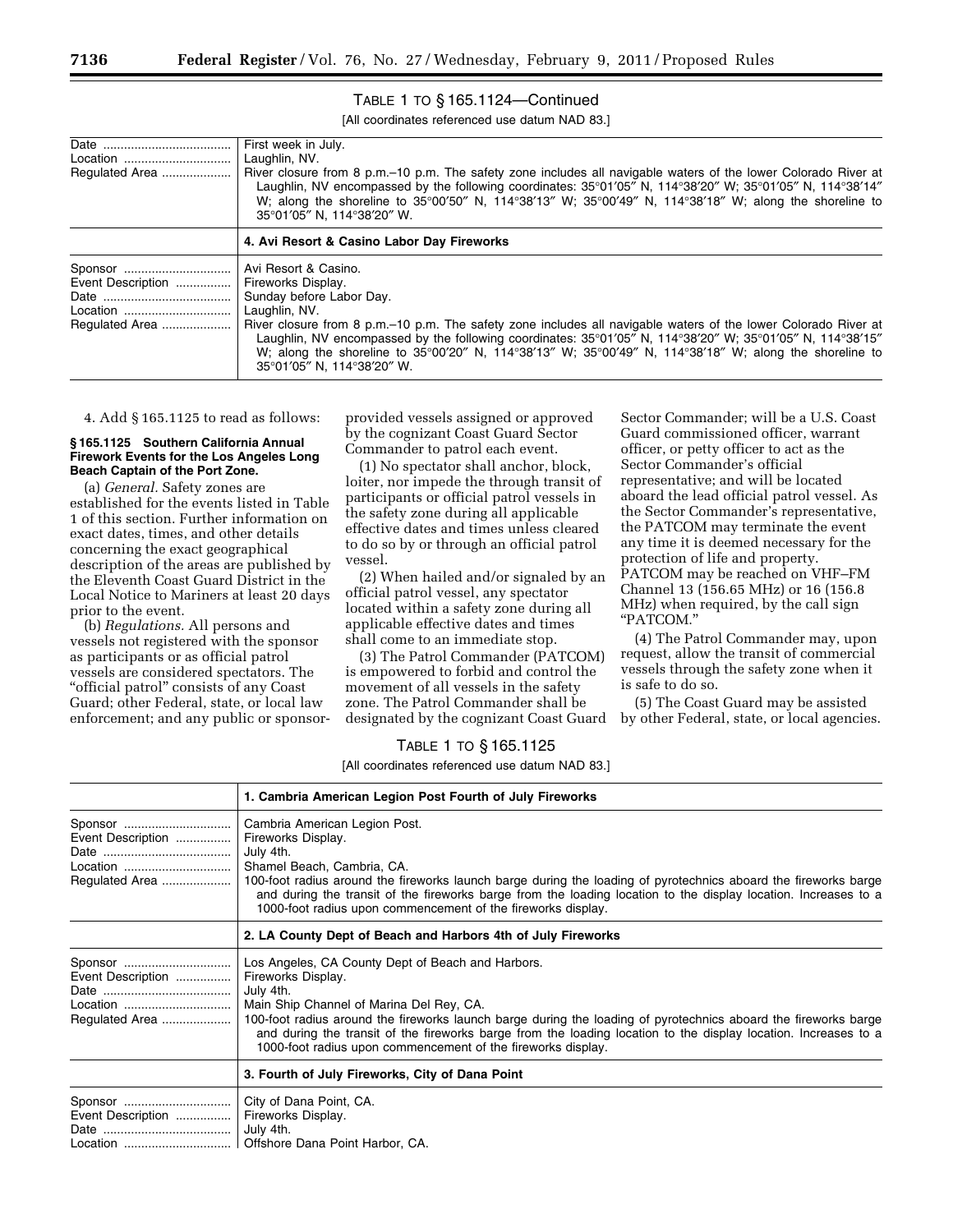| Location                                                   | First week in July.<br>Laughlin, NV.                                                                                                                                                                                                                                                                                                                                                                        |
|------------------------------------------------------------|-------------------------------------------------------------------------------------------------------------------------------------------------------------------------------------------------------------------------------------------------------------------------------------------------------------------------------------------------------------------------------------------------------------|
| Regulated Area                                             | River closure from 8 p.m.–10 p.m. The safety zone includes all navigable waters of the lower Colorado River at<br>Laughlin, NV encompassed by the following coordinates: 35°01'05" N, 114°38'20" W; 35°01'05" N, 114°38'14"<br>W; along the shoreline to $35^{\circ}00'50''$ N, $114^{\circ}38'13''$ W; $35^{\circ}00'49''$ N, $114^{\circ}38'18''$ W; along the shoreline to<br>35°01′05″ N. 114°38′20″ W. |
|                                                            | 4. Avi Resort & Casino Labor Day Fireworks                                                                                                                                                                                                                                                                                                                                                                  |
| Sponsor<br>Event Description<br>Location<br>Regulated Area | Avi Resort & Casino.<br>Fireworks Display.<br>Sunday before Labor Day.<br>Laughlin, NV.<br>River closure from 8 p.m.–10 p.m. The safety zone includes all navigable waters of the lower Colorado River at                                                                                                                                                                                                   |
|                                                            | Laughlin, NV encompassed by the following coordinates: $35^{\circ}01'05''$ N, $114^{\circ}38'20''$ W; $35^{\circ}01'05''$ N, $114^{\circ}38'15''$<br>W; along the shoreline to $35^{\circ}00'20''$ N, $114^{\circ}38'13''$ W; $35^{\circ}00'49''$ N, $114^{\circ}38'18''$ W; along the shoreline to<br>35°01′05" N. 114°38′20" W.                                                                           |

# TABLE 1 TO § 165.1124—Continued

[All coordinates referenced use datum NAD 83.]

4. Add § 165.1125 to read as follows:

#### **§ 165.1125 Southern California Annual Firework Events for the Los Angeles Long Beach Captain of the Port Zone.**

(a) *General.* Safety zones are established for the events listed in Table 1 of this section. Further information on exact dates, times, and other details concerning the exact geographical description of the areas are published by the Eleventh Coast Guard District in the Local Notice to Mariners at least 20 days prior to the event.

(b) *Regulations.* All persons and vessels not registered with the sponsor as participants or as official patrol vessels are considered spectators. The "official patrol" consists of any Coast Guard; other Federal, state, or local law enforcement; and any public or sponsor-

provided vessels assigned or approved by the cognizant Coast Guard Sector Commander to patrol each event.

(1) No spectator shall anchor, block, loiter, nor impede the through transit of participants or official patrol vessels in the safety zone during all applicable effective dates and times unless cleared to do so by or through an official patrol vessel.

(2) When hailed and/or signaled by an official patrol vessel, any spectator located within a safety zone during all applicable effective dates and times shall come to an immediate stop.

(3) The Patrol Commander (PATCOM) is empowered to forbid and control the movement of all vessels in the safety zone. The Patrol Commander shall be designated by the cognizant Coast Guard

Sector Commander; will be a U.S. Coast Guard commissioned officer, warrant officer, or petty officer to act as the Sector Commander's official representative; and will be located aboard the lead official patrol vessel. As the Sector Commander's representative, the PATCOM may terminate the event any time it is deemed necessary for the protection of life and property. PATCOM may be reached on VHF–FM Channel 13 (156.65 MHz) or 16 (156.8 MHz) when required, by the call sign ''PATCOM.''

(4) The Patrol Commander may, upon request, allow the transit of commercial vessels through the safety zone when it is safe to do so.

(5) The Coast Guard may be assisted by other Federal, state, or local agencies.

#### TABLE 1 TO § 165.1125

|                                                            | 1. Cambria American Legion Post Fourth of July Fireworks                                                                                                                                                                                                                                                                                                                                                                               |
|------------------------------------------------------------|----------------------------------------------------------------------------------------------------------------------------------------------------------------------------------------------------------------------------------------------------------------------------------------------------------------------------------------------------------------------------------------------------------------------------------------|
| Sponsor<br>Event Description<br>Regulated Area             | Cambria American Legion Post.<br>Fireworks Display.<br>July 4th.<br>Shamel Beach, Cambria, CA.<br>100-foot radius around the fireworks launch barge during the loading of pyrotechnics aboard the fireworks barge<br>and during the transit of the fireworks barge from the loading location to the display location. Increases to a<br>1000-foot radius upon commencement of the fireworks display.                                   |
|                                                            | 2. LA County Dept of Beach and Harbors 4th of July Fireworks                                                                                                                                                                                                                                                                                                                                                                           |
| Sponsor<br>Event Description<br>Location<br>Regulated Area | Los Angeles, CA County Dept of Beach and Harbors.<br>Fireworks Display.<br>July 4th.<br>Main Ship Channel of Marina Del Rey, CA.<br>100-foot radius around the fireworks launch barge during the loading of pyrotechnics aboard the fireworks barge<br>and during the transit of the fireworks barge from the loading location to the display location. Increases to a<br>1000-foot radius upon commencement of the fireworks display. |
|                                                            | 3. Fourth of July Fireworks, City of Dana Point                                                                                                                                                                                                                                                                                                                                                                                        |
| Sponsor<br>Event Description                               | City of Dana Point, CA.<br>Fireworks Display.<br>July 4th.<br>Location    Offshore Dana Point Harbor, CA.                                                                                                                                                                                                                                                                                                                              |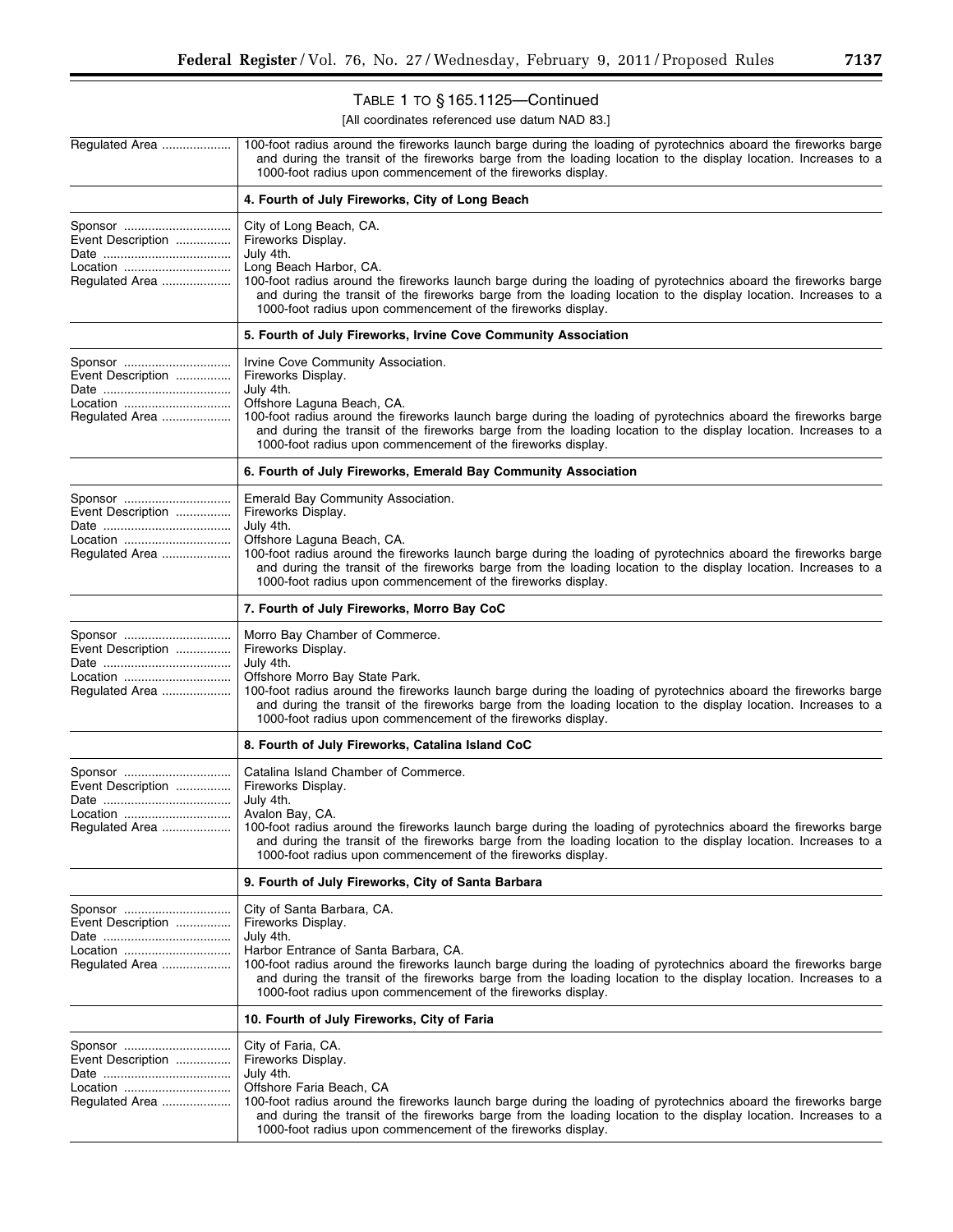# TABLE 1 TO § 165.1125—Continued

| Regulated Area                                             | 100-foot radius around the fireworks launch barge during the loading of pyrotechnics aboard the fireworks barge<br>and during the transit of the fireworks barge from the loading location to the display location. Increases to a<br>1000-foot radius upon commencement of the fireworks display.                                                                                                           |
|------------------------------------------------------------|--------------------------------------------------------------------------------------------------------------------------------------------------------------------------------------------------------------------------------------------------------------------------------------------------------------------------------------------------------------------------------------------------------------|
|                                                            | 4. Fourth of July Fireworks, City of Long Beach                                                                                                                                                                                                                                                                                                                                                              |
| Sponsor<br>Event Description<br>Location<br>Regulated Area | City of Long Beach, CA.<br>Fireworks Display.<br>July 4th.<br>Long Beach Harbor, CA.<br>100-foot radius around the fireworks launch barge during the loading of pyrotechnics aboard the fireworks barge<br>and during the transit of the fireworks barge from the loading location to the display location. Increases to a<br>1000-foot radius upon commencement of the fireworks display.                   |
|                                                            | 5. Fourth of July Fireworks, Irvine Cove Community Association                                                                                                                                                                                                                                                                                                                                               |
| Sponsor<br>Event Description<br>Location<br>Regulated Area | Irvine Cove Community Association.<br>Fireworks Display.<br>July 4th.<br>Offshore Laguna Beach, CA.<br>100-foot radius around the fireworks launch barge during the loading of pyrotechnics aboard the fireworks barge<br>and during the transit of the fireworks barge from the loading location to the display location. Increases to a<br>1000-foot radius upon commencement of the fireworks display.    |
|                                                            | 6. Fourth of July Fireworks, Emerald Bay Community Association                                                                                                                                                                                                                                                                                                                                               |
| Sponsor<br>Event Description<br>Location<br>Regulated Area | Emerald Bay Community Association.<br>Fireworks Display.<br>July 4th.<br>Offshore Laguna Beach, CA.<br>100-foot radius around the fireworks launch barge during the loading of pyrotechnics aboard the fireworks barge<br>and during the transit of the fireworks barge from the loading location to the display location. Increases to a<br>1000-foot radius upon commencement of the fireworks display.    |
|                                                            | 7. Fourth of July Fireworks, Morro Bay CoC                                                                                                                                                                                                                                                                                                                                                                   |
| Sponsor<br>Event Description<br>Location<br>Regulated Area | Morro Bay Chamber of Commerce.<br>Fireworks Display.<br>July 4th.<br>Offshore Morro Bay State Park.<br>100-foot radius around the fireworks launch barge during the loading of pyrotechnics aboard the fireworks barge<br>and during the transit of the fireworks barge from the loading location to the display location. Increases to a<br>1000-foot radius upon commencement of the fireworks display.    |
|                                                            | 8. Fourth of July Fireworks, Catalina Island CoC                                                                                                                                                                                                                                                                                                                                                             |
| Event Description<br>Location<br>Regulated Area            | Catalina Island Chamber of Commerce.<br>Fireworks Display.<br>July 4th.<br>Avalon Bay, CA.<br>100-foot radius around the fireworks launch barge during the loading of pyrotechnics aboard the fireworks barge<br>and during the transit of the fireworks barge from the loading location to the display location. Increases to a<br>1000-foot radius upon commencement of the fireworks display.             |
|                                                            | 9. Fourth of July Fireworks, City of Santa Barbara                                                                                                                                                                                                                                                                                                                                                           |
| Sponsor<br>Event Description<br>Location<br>Regulated Area | City of Santa Barbara, CA.<br>Fireworks Display.<br>July 4th.<br>Harbor Entrance of Santa Barbara, CA.<br>100-foot radius around the fireworks launch barge during the loading of pyrotechnics aboard the fireworks barge<br>and during the transit of the fireworks barge from the loading location to the display location. Increases to a<br>1000-foot radius upon commencement of the fireworks display. |
|                                                            | 10. Fourth of July Fireworks, City of Faria                                                                                                                                                                                                                                                                                                                                                                  |
| Sponsor<br>Event Description<br>Location<br>Regulated Area | City of Faria, CA.<br>Fireworks Display.<br>July 4th.<br>Offshore Faria Beach, CA<br>100-foot radius around the fireworks launch barge during the loading of pyrotechnics aboard the fireworks barge<br>and during the transit of the fireworks barge from the loading location to the display location. Increases to a<br>1000-foot radius upon commencement of the fireworks display.                      |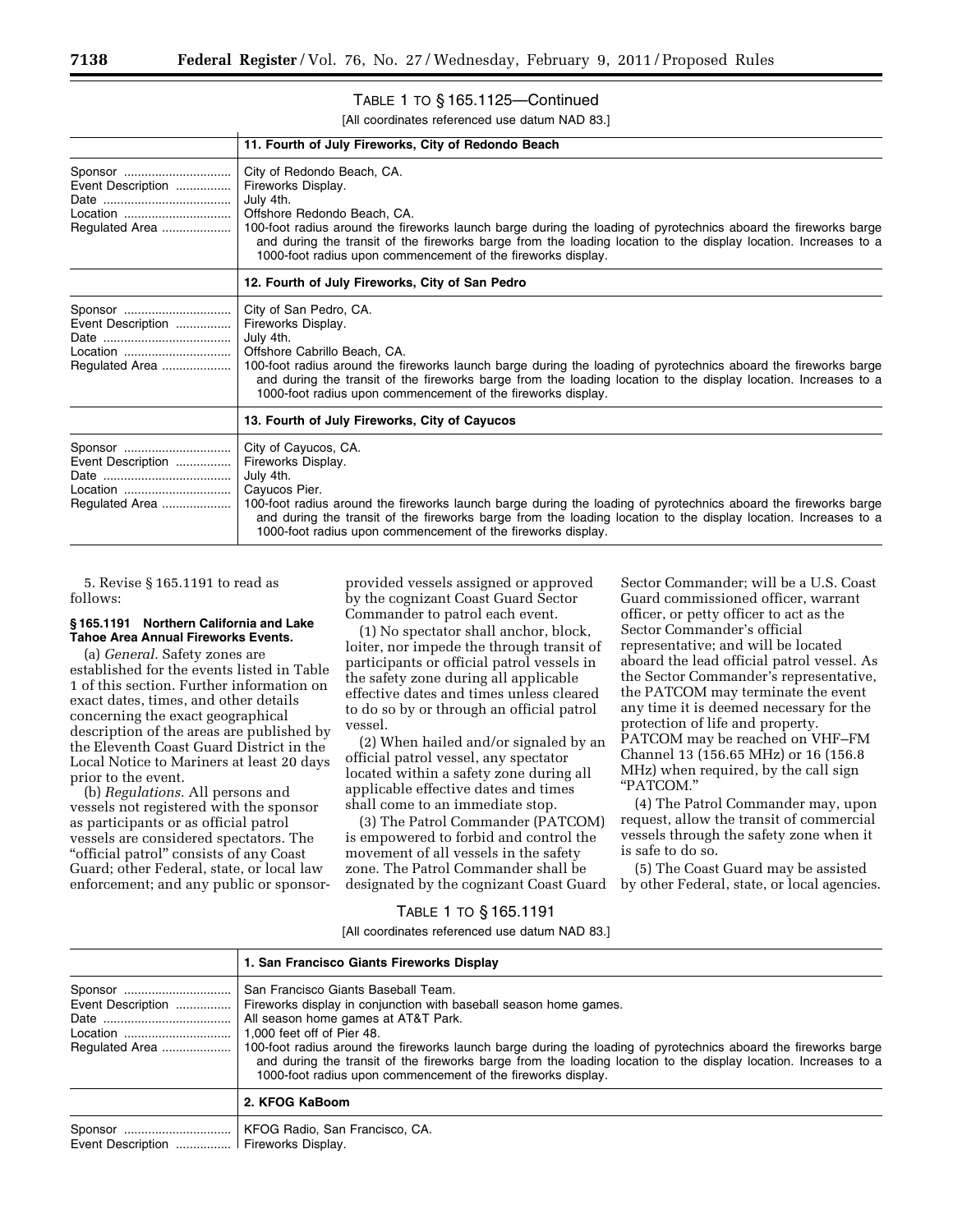# TABLE 1 TO § 165.1125—Continued

[All coordinates referenced use datum NAD 83.]

|                                                            | 11. Fourth of July Fireworks, City of Redondo Beach                                                                                                                                                                                                                                                                                                                                                |
|------------------------------------------------------------|----------------------------------------------------------------------------------------------------------------------------------------------------------------------------------------------------------------------------------------------------------------------------------------------------------------------------------------------------------------------------------------------------|
| Sponsor<br>Event Description<br>Location<br>Regulated Area | City of Redondo Beach, CA.<br>Fireworks Display.<br>July 4th.<br>Offshore Redondo Beach, CA.<br>100-foot radius around the fireworks launch barge during the loading of pyrotechnics aboard the fireworks barge<br>and during the transit of the fireworks barge from the loading location to the display location. Increases to a<br>1000-foot radius upon commencement of the fireworks display. |
|                                                            | 12. Fourth of July Fireworks, City of San Pedro                                                                                                                                                                                                                                                                                                                                                    |
| Sponsor<br>Event Description<br>Regulated Area             | City of San Pedro, CA.<br>Fireworks Display.<br>July 4th.<br>Offshore Cabrillo Beach, CA.<br>100-foot radius around the fireworks launch barge during the loading of pyrotechnics aboard the fireworks barge<br>and during the transit of the fireworks barge from the loading location to the display location. Increases to a<br>1000-foot radius upon commencement of the fireworks display.    |
|                                                            | 13. Fourth of July Fireworks, City of Cayucos                                                                                                                                                                                                                                                                                                                                                      |
| Event Description<br>Location<br>Regulated Area            | City of Cayucos, CA.<br>Fireworks Display.<br>July 4th.<br>Cayucos Pier.<br>100-foot radius around the fireworks launch barge during the loading of pyrotechnics aboard the fireworks barge<br>and during the transit of the fireworks barge from the loading location to the display location. Increases to a<br>1000-foot radius upon commencement of the fireworks display.                     |

5. Revise § 165.1191 to read as follows:

#### **§ 165.1191 Northern California and Lake Tahoe Area Annual Fireworks Events.**

(a) *General.* Safety zones are established for the events listed in Table 1 of this section. Further information on exact dates, times, and other details concerning the exact geographical description of the areas are published by the Eleventh Coast Guard District in the Local Notice to Mariners at least 20 days prior to the event.

(b) *Regulations.* All persons and vessels not registered with the sponsor as participants or as official patrol vessels are considered spectators. The "official patrol" consists of any Coast Guard; other Federal, state, or local law enforcement; and any public or sponsor-

provided vessels assigned or approved by the cognizant Coast Guard Sector Commander to patrol each event.

(1) No spectator shall anchor, block, loiter, nor impede the through transit of participants or official patrol vessels in the safety zone during all applicable effective dates and times unless cleared to do so by or through an official patrol vessel.

(2) When hailed and/or signaled by an official patrol vessel, any spectator located within a safety zone during all applicable effective dates and times shall come to an immediate stop.

(3) The Patrol Commander (PATCOM) is empowered to forbid and control the movement of all vessels in the safety zone. The Patrol Commander shall be designated by the cognizant Coast Guard

Sector Commander; will be a U.S. Coast Guard commissioned officer, warrant officer, or petty officer to act as the Sector Commander's official representative; and will be located aboard the lead official patrol vessel. As the Sector Commander's representative, the PATCOM may terminate the event any time it is deemed necessary for the protection of life and property. PATCOM may be reached on VHF–FM Channel 13 (156.65 MHz) or 16 (156.8 MHz) when required, by the call sign ''PATCOM.''

(4) The Patrol Commander may, upon request, allow the transit of commercial vessels through the safety zone when it is safe to do so.

(5) The Coast Guard may be assisted by other Federal, state, or local agencies.

#### TABLE 1 TO § 165.1191

|                                                    | 1. San Francisco Giants Fireworks Display                                                                                                                                                                                                                                                                                                                        |
|----------------------------------------------------|------------------------------------------------------------------------------------------------------------------------------------------------------------------------------------------------------------------------------------------------------------------------------------------------------------------------------------------------------------------|
| Sponsor<br>Event Description<br>Location           | San Francisco Giants Baseball Team.<br>Fireworks display in conjunction with baseball season home games.<br>All season home games at AT&T Park.<br>1.000 feet off of Pier 48.<br>and during the transit of the fireworks barge from the loading location to the display location. Increases to a<br>1000-foot radius upon commencement of the fireworks display. |
|                                                    | 2. KFOG KaBoom                                                                                                                                                                                                                                                                                                                                                   |
| Sponsor<br>Event Description    Fireworks Display. | KFOG Radio, San Francisco, CA.                                                                                                                                                                                                                                                                                                                                   |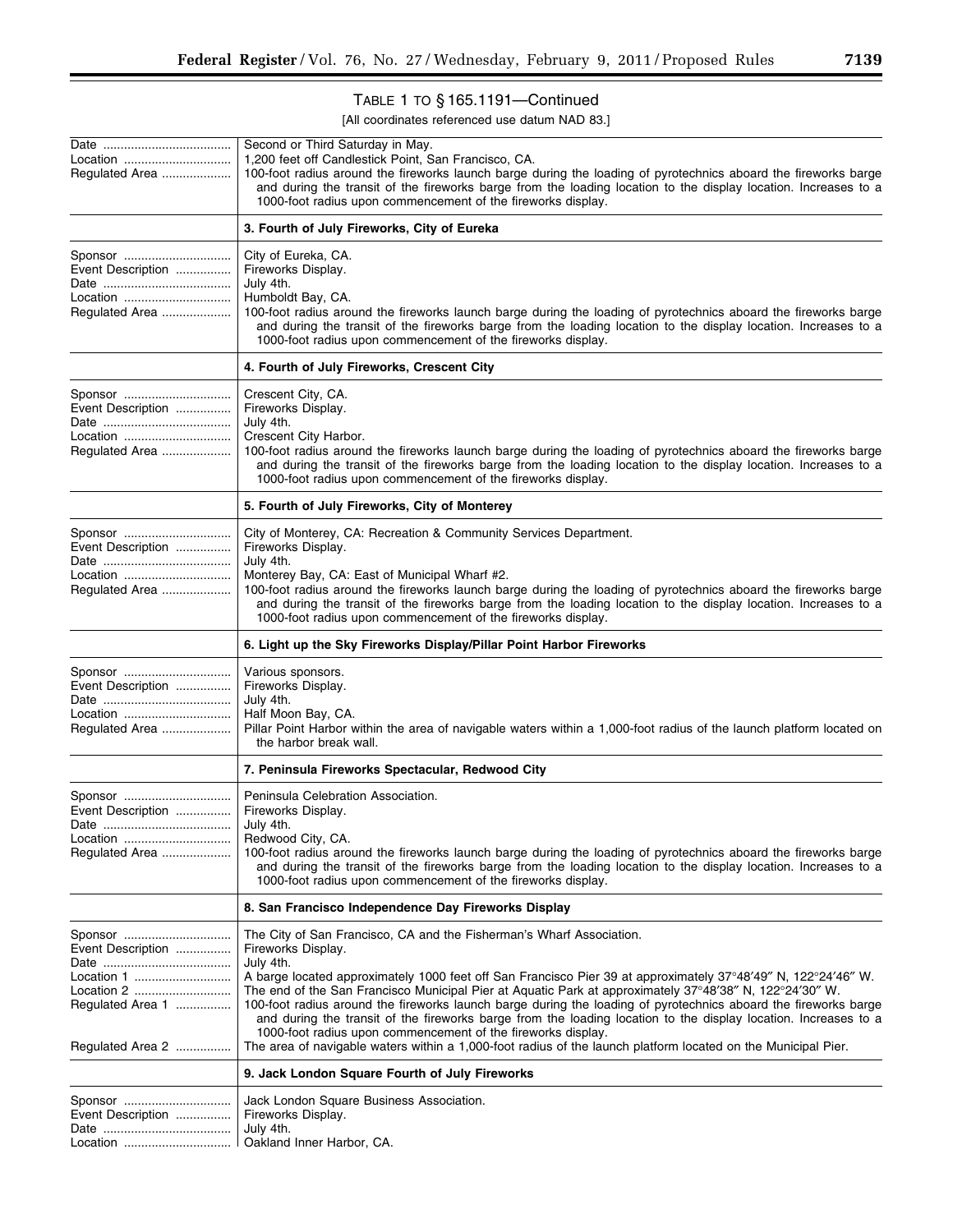# TABLE 1 TO § 165.1191—Continued

| Location<br>Regulated Area                                                                       | Second or Third Saturday in May.<br>1,200 feet off Candlestick Point, San Francisco, CA.<br>100-foot radius around the fireworks launch barge during the loading of pyrotechnics aboard the fireworks barge<br>and during the transit of the fireworks barge from the loading location to the display location. Increases to a<br>1000-foot radius upon commencement of the fireworks display.                                                                                                                                                                                                                                                                                                                                                             |
|--------------------------------------------------------------------------------------------------|------------------------------------------------------------------------------------------------------------------------------------------------------------------------------------------------------------------------------------------------------------------------------------------------------------------------------------------------------------------------------------------------------------------------------------------------------------------------------------------------------------------------------------------------------------------------------------------------------------------------------------------------------------------------------------------------------------------------------------------------------------|
|                                                                                                  | 3. Fourth of July Fireworks, City of Eureka                                                                                                                                                                                                                                                                                                                                                                                                                                                                                                                                                                                                                                                                                                                |
| Sponsor<br>Event Description<br>Location<br>Regulated Area                                       | City of Eureka, CA.<br>Fireworks Display.<br>July 4th.<br>Humboldt Bay, CA.<br>100-foot radius around the fireworks launch barge during the loading of pyrotechnics aboard the fireworks barge<br>and during the transit of the fireworks barge from the loading location to the display location. Increases to a<br>1000-foot radius upon commencement of the fireworks display.                                                                                                                                                                                                                                                                                                                                                                          |
|                                                                                                  | 4. Fourth of July Fireworks, Crescent City                                                                                                                                                                                                                                                                                                                                                                                                                                                                                                                                                                                                                                                                                                                 |
| Sponsor<br>Event Description<br>Location<br>Regulated Area                                       | Crescent City, CA.<br>Fireworks Display.<br>July 4th.<br>Crescent City Harbor.<br>100-foot radius around the fireworks launch barge during the loading of pyrotechnics aboard the fireworks barge<br>and during the transit of the fireworks barge from the loading location to the display location. Increases to a<br>1000-foot radius upon commencement of the fireworks display.                                                                                                                                                                                                                                                                                                                                                                       |
|                                                                                                  | 5. Fourth of July Fireworks, City of Monterey                                                                                                                                                                                                                                                                                                                                                                                                                                                                                                                                                                                                                                                                                                              |
| Sponsor<br>Event Description<br>Location<br>Regulated Area                                       | City of Monterey, CA: Recreation & Community Services Department.<br>Fireworks Display.<br>July 4th.<br>Monterey Bay, CA: East of Municipal Wharf #2.<br>100-foot radius around the fireworks launch barge during the loading of pyrotechnics aboard the fireworks barge<br>and during the transit of the fireworks barge from the loading location to the display location. Increases to a<br>1000-foot radius upon commencement of the fireworks display.                                                                                                                                                                                                                                                                                                |
|                                                                                                  | 6. Light up the Sky Fireworks Display/Pillar Point Harbor Fireworks                                                                                                                                                                                                                                                                                                                                                                                                                                                                                                                                                                                                                                                                                        |
| Sponsor<br>Event Description<br>Location<br>Regulated Area                                       | Various sponsors.<br>Fireworks Display.<br>July 4th.<br>Half Moon Bay, CA.<br>Pillar Point Harbor within the area of navigable waters within a 1,000-foot radius of the launch platform located on<br>the harbor break wall.                                                                                                                                                                                                                                                                                                                                                                                                                                                                                                                               |
|                                                                                                  | 7. Peninsula Fireworks Spectacular, Redwood City                                                                                                                                                                                                                                                                                                                                                                                                                                                                                                                                                                                                                                                                                                           |
| Sponsor<br>Event Description<br>Location<br>Regulated Area                                       | Peninsula Celebration Association.<br>Fireworks Display.<br>July 4th.<br>Redwood City, CA.<br>100-foot radius around the fireworks launch barge during the loading of pyrotechnics aboard the fireworks barge<br>and during the transit of the fireworks barge from the loading location to the display location. Increases to a<br>1000-foot radius upon commencement of the fireworks display.                                                                                                                                                                                                                                                                                                                                                           |
|                                                                                                  | 8. San Francisco Independence Day Fireworks Display                                                                                                                                                                                                                                                                                                                                                                                                                                                                                                                                                                                                                                                                                                        |
| Sponsor<br>Event Description<br>Location 1<br>Location 2<br>Regulated Area 1<br>Regulated Area 2 | The City of San Francisco, CA and the Fisherman's Wharf Association.<br>Fireworks Display.<br>July 4th.<br>A barge located approximately 1000 feet off San Francisco Pier 39 at approximately 37°48'49" N, 122°24'46" W.<br>The end of the San Francisco Municipal Pier at Aquatic Park at approximately 37°48'38" N, 122°24'30" W.<br>100-foot radius around the fireworks launch barge during the loading of pyrotechnics aboard the fireworks barge<br>and during the transit of the fireworks barge from the loading location to the display location. Increases to a<br>1000-foot radius upon commencement of the fireworks display.<br>The area of navigable waters within a 1,000-foot radius of the launch platform located on the Municipal Pier. |
|                                                                                                  | 9. Jack London Square Fourth of July Fireworks                                                                                                                                                                                                                                                                                                                                                                                                                                                                                                                                                                                                                                                                                                             |
| Sponsor<br>Event Description<br>Location                                                         | Jack London Square Business Association.<br>Fireworks Display.<br>July 4th.<br>Oakland Inner Harbor, CA.                                                                                                                                                                                                                                                                                                                                                                                                                                                                                                                                                                                                                                                   |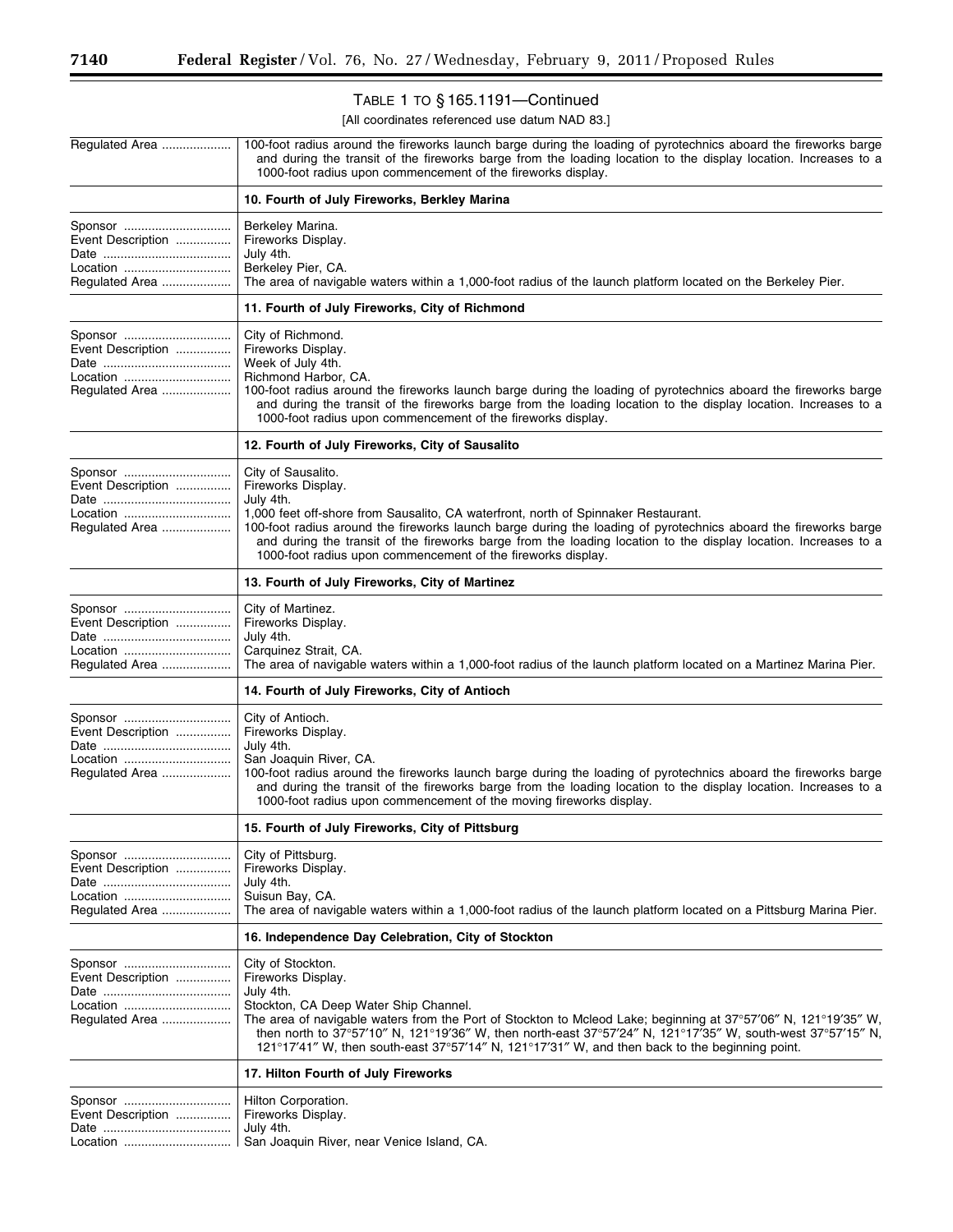۳

# TABLE 1 TO § 165.1191—Continued

| Regulated Area                                             | 100-foot radius around the fireworks launch barge during the loading of pyrotechnics aboard the fireworks barge<br>and during the transit of the fireworks barge from the loading location to the display location. Increases to a<br>1000-foot radius upon commencement of the fireworks display.                                                                                                                                                |
|------------------------------------------------------------|---------------------------------------------------------------------------------------------------------------------------------------------------------------------------------------------------------------------------------------------------------------------------------------------------------------------------------------------------------------------------------------------------------------------------------------------------|
|                                                            | 10. Fourth of July Fireworks, Berkley Marina                                                                                                                                                                                                                                                                                                                                                                                                      |
| Sponsor<br>Event Description<br>Location<br>Regulated Area | Berkeley Marina.<br>Fireworks Display.<br>July 4th.<br>Berkeley Pier, CA.<br>The area of navigable waters within a 1,000-foot radius of the launch platform located on the Berkeley Pier.                                                                                                                                                                                                                                                         |
|                                                            | 11. Fourth of July Fireworks, City of Richmond                                                                                                                                                                                                                                                                                                                                                                                                    |
| Sponsor<br>Event Description<br>Location<br>Regulated Area | City of Richmond.<br>Fireworks Display.<br>Week of July 4th.<br>Richmond Harbor, CA.<br>100-foot radius around the fireworks launch barge during the loading of pyrotechnics aboard the fireworks barge<br>and during the transit of the fireworks barge from the loading location to the display location. Increases to a<br>1000-foot radius upon commencement of the fireworks display.                                                        |
|                                                            | 12. Fourth of July Fireworks, City of Sausalito                                                                                                                                                                                                                                                                                                                                                                                                   |
| Sponsor<br>Event Description<br>Location<br>Regulated Area | City of Sausalito.<br>Fireworks Display.<br>July 4th.<br>1,000 feet off-shore from Sausalito, CA waterfront, north of Spinnaker Restaurant.<br>100-foot radius around the fireworks launch barge during the loading of pyrotechnics aboard the fireworks barge<br>and during the transit of the fireworks barge from the loading location to the display location. Increases to a<br>1000-foot radius upon commencement of the fireworks display. |
|                                                            | 13. Fourth of July Fireworks, City of Martinez                                                                                                                                                                                                                                                                                                                                                                                                    |
| Sponsor<br>Event Description<br>Location<br>Regulated Area | City of Martinez.<br>Fireworks Display.<br>July 4th.<br>Carquinez Strait, CA.<br>The area of navigable waters within a 1,000-foot radius of the launch platform located on a Martinez Marina Pier.                                                                                                                                                                                                                                                |
|                                                            | 14. Fourth of July Fireworks, City of Antioch                                                                                                                                                                                                                                                                                                                                                                                                     |
| Sponsor<br>Event Description<br>Location<br>Regulated Area | City of Antioch.<br>Fireworks Display.<br>July 4th.<br>San Joaquin River, CA.<br>100-foot radius around the fireworks launch barge during the loading of pyrotechnics aboard the fireworks barge<br>and during the transit of the fireworks barge from the loading location to the display location. Increases to a<br>1000-foot radius upon commencement of the moving fireworks display.                                                        |
|                                                            | 15. Fourth of July Fireworks, City of Pittsburg                                                                                                                                                                                                                                                                                                                                                                                                   |
| Sponsor<br>Event Description<br>Location<br>Regulated Area | City of Pittsburg.<br>Fireworks Display.<br>July 4th.<br>Suisun Bay, CA.<br>The area of navigable waters within a 1,000-foot radius of the launch platform located on a Pittsburg Marina Pier.                                                                                                                                                                                                                                                    |
|                                                            | 16. Independence Day Celebration, City of Stockton                                                                                                                                                                                                                                                                                                                                                                                                |
| Sponsor<br>Event Description<br>Location<br>Regulated Area | City of Stockton.<br>Fireworks Display.<br>July 4th.<br>Stockton, CA Deep Water Ship Channel.<br>The area of navigable waters from the Port of Stockton to Mcleod Lake; beginning at 37°57'06" N, 121°19'35" W,<br>then north to 37°57'10" N, 121°19'36" W, then north-east 37°57'24" N, 121°17'35" W, south-west 37°57'15" N,<br>121°17'41" W, then south-east 37°57'14" N, 121°17'31" W, and then back to the beginning point.                  |
|                                                            | 17. Hilton Fourth of July Fireworks                                                                                                                                                                                                                                                                                                                                                                                                               |
| Sponsor<br>Event Description<br>Location                   | Hilton Corporation.<br>Fireworks Display.<br>July 4th.<br>San Joaquin River, near Venice Island, CA.                                                                                                                                                                                                                                                                                                                                              |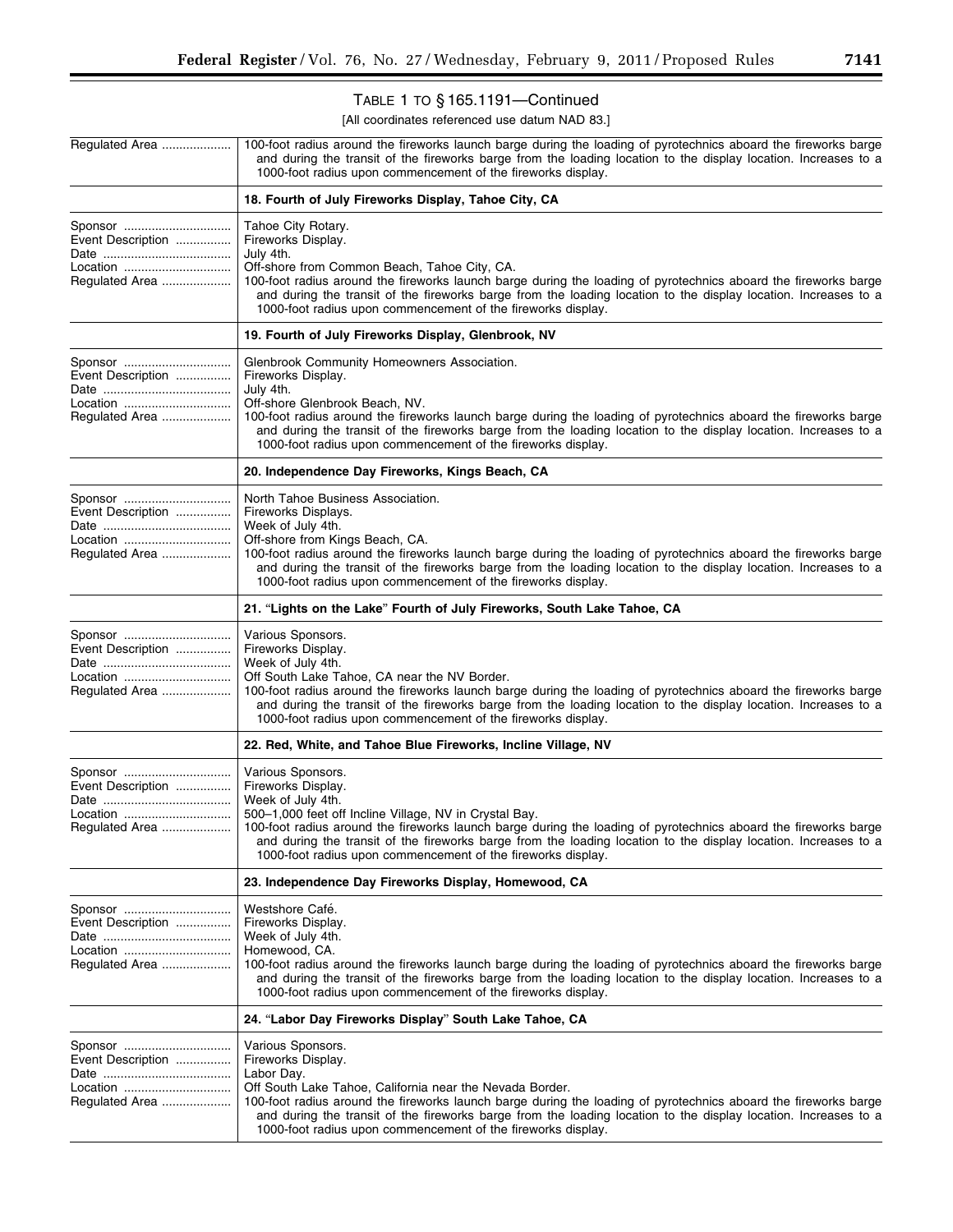▀

# TABLE 1 TO § 165.1191—Continued

| Regulated Area                                             | 100-foot radius around the fireworks launch barge during the loading of pyrotechnics aboard the fireworks barge<br>and during the transit of the fireworks barge from the loading location to the display location. Increases to a<br>1000-foot radius upon commencement of the fireworks display.                                                                                                                           |
|------------------------------------------------------------|------------------------------------------------------------------------------------------------------------------------------------------------------------------------------------------------------------------------------------------------------------------------------------------------------------------------------------------------------------------------------------------------------------------------------|
|                                                            | 18. Fourth of July Fireworks Display, Tahoe City, CA                                                                                                                                                                                                                                                                                                                                                                         |
| Sponsor<br>Event Description<br>Location<br>Regulated Area | Tahoe City Rotary.<br>Fireworks Display.<br>July 4th.<br>Off-shore from Common Beach, Tahoe City, CA.<br>100-foot radius around the fireworks launch barge during the loading of pyrotechnics aboard the fireworks barge<br>and during the transit of the fireworks barge from the loading location to the display location. Increases to a<br>1000-foot radius upon commencement of the fireworks display.                  |
|                                                            | 19. Fourth of July Fireworks Display, Glenbrook, NV                                                                                                                                                                                                                                                                                                                                                                          |
| Sponsor<br>Event Description<br>Location<br>Regulated Area | Glenbrook Community Homeowners Association.<br>Fireworks Display.<br>July 4th.<br>Off-shore Glenbrook Beach, NV.<br>100-foot radius around the fireworks launch barge during the loading of pyrotechnics aboard the fireworks barge<br>and during the transit of the fireworks barge from the loading location to the display location. Increases to a<br>1000-foot radius upon commencement of the fireworks display.       |
|                                                            | 20. Independence Day Fireworks, Kings Beach, CA                                                                                                                                                                                                                                                                                                                                                                              |
| Sponsor<br>Event Description<br>Location<br>Regulated Area | North Tahoe Business Association.<br>Fireworks Displays.<br>Week of July 4th.<br>Off-shore from Kings Beach, CA.<br>100-foot radius around the fireworks launch barge during the loading of pyrotechnics aboard the fireworks barge<br>and during the transit of the fireworks barge from the loading location to the display location. Increases to a<br>1000-foot radius upon commencement of the fireworks display.       |
|                                                            | 21. "Lights on the Lake" Fourth of July Fireworks, South Lake Tahoe, CA                                                                                                                                                                                                                                                                                                                                                      |
| Sponsor<br>Event Description<br>Location<br>Regulated Area | Various Sponsors.<br>Fireworks Display.<br>Week of July 4th.<br>Off South Lake Tahoe, CA near the NV Border.<br>100-foot radius around the fireworks launch barge during the loading of pyrotechnics aboard the fireworks barge<br>and during the transit of the fireworks barge from the loading location to the display location. Increases to a<br>1000-foot radius upon commencement of the fireworks display.           |
|                                                            | 22. Red, White, and Tahoe Blue Fireworks, Incline Village, NV                                                                                                                                                                                                                                                                                                                                                                |
| Sponsor<br>Event Description<br>Location<br>Regulated Area | Various Sponsors.<br>Fireworks Display.<br>Week of July 4th.<br>500-1,000 feet off Incline Village, NV in Crystal Bay.<br>100-foot radius around the fireworks launch barge during the loading of pyrotechnics aboard the fireworks barge<br>and during the transit of the fireworks barge from the loading location to the display location. Increases to a<br>1000-foot radius upon commencement of the fireworks display. |
|                                                            | 23. Independence Day Fireworks Display, Homewood, CA                                                                                                                                                                                                                                                                                                                                                                         |
| Sponsor<br>Event Description<br>Location<br>Regulated Area | Westshore Café.<br>Fireworks Display.<br>Week of July 4th.<br>Homewood, CA.<br>100-foot radius around the fireworks launch barge during the loading of pyrotechnics aboard the fireworks barge<br>and during the transit of the fireworks barge from the loading location to the display location. Increases to a<br>1000-foot radius upon commencement of the fireworks display.                                            |
|                                                            | 24. "Labor Day Fireworks Display" South Lake Tahoe, CA                                                                                                                                                                                                                                                                                                                                                                       |
| Event Description<br>Location<br>Regulated Area            | Various Sponsors.<br>Fireworks Display.<br>Labor Day.<br>Off South Lake Tahoe, California near the Nevada Border.<br>100-foot radius around the fireworks launch barge during the loading of pyrotechnics aboard the fireworks barge<br>and during the transit of the fireworks barge from the loading location to the display location. Increases to a<br>1000-foot radius upon commencement of the fireworks display.      |